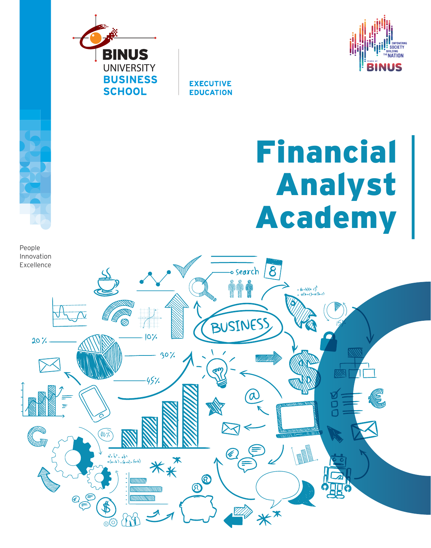

**SOCIETY** IUILDING<br>**NATION** VIJS

**EXECUTIVE EDUCATION** 

# Financial Analyst Academy

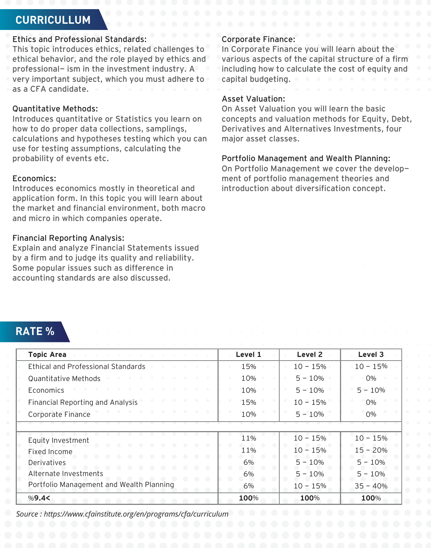## **CURRICULLUM**

## Ethics and Professional Standards:

This topic introduces ethics, related challenges to ethical behavior, and the role played by ethics and professional- ism in the investment industry. A very important subject, which you must adhere to as a CFA candidate.

#### Quantitative Methods:

Introduces quantitative or Statistics you learn on how to do proper data collections, samplings, calculations and hypotheses testing which you can use for testing assumptions, calculating the probability of events etc.

## Economics:

Introduces economics mostly in theoretical and application form. In this topic you will learn about the market and financial environment, both macro and micro in which companies operate.

#### Financial Reporting Analysis:

Explain and analyze Financial Statements issued by a firm and to judge its quality and reliability. Some popular issues such as difference in accounting standards are also discussed.

#### Corporate Finance:

In Corporate Finance you will learn about the various aspects of the capital structure of a firm including how to calculate the cost of equity and capital budgeting.

#### Asset Valuation:

On Asset Valuation you will learn the basic concepts and valuation methods for Equity, Debt, Derivatives and Alternatives Investments, four major asset classes.

#### Portfolio Management and Wealth Planning:

On Portfolio Management we cover the development of portfolio management theories and introduction about diversification concept.

| <b>RATE %</b> |
|---------------|
|---------------|

| <b>Topic Area</b>                         | Level 1 | Level 2    | Level 3    |
|-------------------------------------------|---------|------------|------------|
| <b>Ethical and Professional Standards</b> | 15%     | $10 - 15%$ | $10 - 15%$ |
| Quantitative Methods                      | 10%     | $5 - 10%$  | 0%         |
| Economics                                 | 10%     | $5 - 10%$  | $5 - 10%$  |
| <b>Financial Reporting and Analysis</b>   | 15%     | $10 - 15%$ | 0%         |
| Corporate Finance                         | 10%     | $5 - 10%$  | $0\%$      |
|                                           |         |            |            |
| Equity Investment                         | 11%     | $10 - 15%$ | $10 - 15%$ |
| Fixed Income                              | 11%     | $10 - 15%$ | $15 - 20%$ |
| Derivatives                               | 6%      | $5 - 10%$  | $5 - 10%$  |
| Alternate Investments                     | 6%      | $5 - 10%$  | $5 - 10%$  |
| Portfolio Management and Wealth Planning  | 6%      | $10 - 15%$ | $35 - 40%$ |
| %9.4<                                     | 100%    | 100%       | 100%       |

*Source : https://www.cfainstitute.org/en/programs/cfa/curriculum*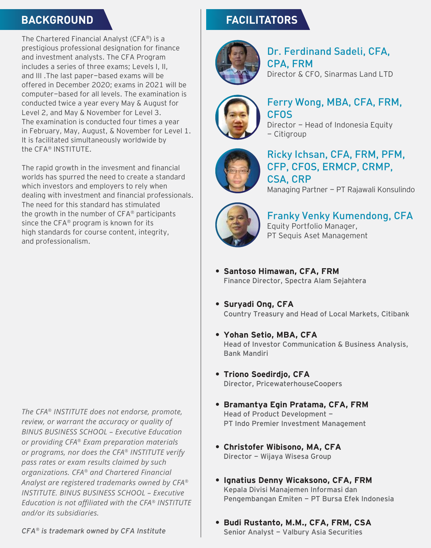## **BACKGROUND**

The Chartered Financial Analyst (CFA®) is a prestigious professional designation for finance and investment analysts. The CFA Program includes a series of three exams; Levels I, II, and III .The last paper-based exams will be offered in December 2020; exams in 2021 will be computer-based for all levels. The examination is conducted twice a year every May & August for Level 2, and May & November for Level 3. The examination is conducted four times a year in February, May, August, & November for Level 1. It is facilitated simultaneously worldwide by the CFA® INSTITUTE.

The rapid growth in the invesment and financial worlds has spurred the need to create a standard which investors and employers to rely when dealing with investment and financial professionals. The need for this standard has stimulated the growth in the number of CFA® participants since the CFA® program is known for its high standards for course content, integrity, and professionalism.

*The CFA® INSTITUTE does not endorse, promote, review, or warrant the accuracy or quality of BINUS BUSINESS SCHOOL – Executive Education or providing CFA® Exam preparation materials or programs, nor does the CFA® INSTITUTE verify pass rates or exam results claimed by such organizations. CFA® and Chartered Financial Analyst are registered trademarks owned by CFA® INSTITUTE. BINUS BUSINESS SCHOOL – Executive Education is not affiliated with the CFA® INSTITUTE and/or its subsidiaries.*

# **FACILITATORS**



## Dr. Ferdinand Sadeli, CFA, CPA, FRM Director & CFO, Sinarmas Land LTD



## Ferry Wong, MBA, CFA, FRM, CFOS

Director - Head of Indonesia Equity - Citigroup



## Ricky Ichsan, CFA, FRM, PFM, CFP, CFOS, ERMCP, CRMP, CSA, CRP

Managing Partner - PT Rajawali Konsulindo



Franky Venky Kumendong, CFA Equity Portfolio Manager, PT Sequis Aset Management

- **Santoso Himawan, CFA, FRM •** Finance Director, Spectra Alam Sejahtera
- **Suryadi Ong, CFA •** Country Treasury and Head of Local Markets, Citibank
- **Yohan Setio, MBA, CFA •** Head of Investor Communication & Business Analysis, Bank Mandiri
- **Triono Soedirdjo, CFA •** Director, PricewaterhouseCoopers
- **Bramantya Egin Pratama, CFA, FRM •** Head of Product Development -PT Indo Premier Investment Management
- **Christofer Wibisono, MA, CFA •** Director - Wijaya Wisesa Group
- **Ignatius Denny Wicaksono, CFA, FRM •** Kepala Divisi Manajemen Informasi dan Pengembangan Emiten - PT Bursa Efek Indonesia
- **Budi Rustanto, M.M., CFA, FRM, CSA •**Senior Analyst - Valbury Asia Securities